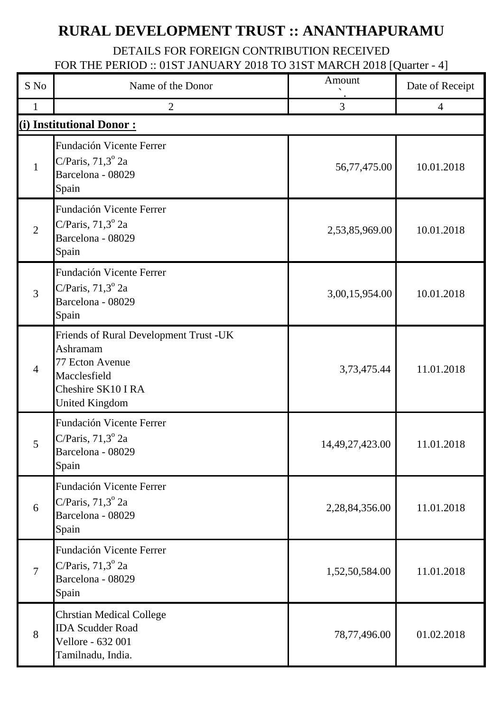## **RURAL DEVELOPMENT TRUST :: ANANTHAPURAMU**

## DETAILS FOR FOREIGN CONTRIBUTION RECEIVED FOR THE PERIOD :: 01ST JANUARY 2018 TO 31ST MARCH 2018 [Quarter - 4]

| S No           | Name of the Donor                                                                                                                    | Amount          | Date of Receipt |
|----------------|--------------------------------------------------------------------------------------------------------------------------------------|-----------------|-----------------|
| 1              | $\overline{2}$                                                                                                                       | 3               | $\overline{4}$  |
|                | (i) Institutional Donor:                                                                                                             |                 |                 |
| $\mathbf{1}$   | <b>Fundación Vicente Ferrer</b><br>C/Paris, $71,3^{\circ}$ 2a<br>Barcelona - 08029<br>Spain                                          | 56,77,475.00    | 10.01.2018      |
| $\overline{2}$ | <b>Fundación Vicente Ferrer</b><br>C/Paris, $71,3^{\circ}$ 2a<br>Barcelona - 08029<br>Spain                                          | 2,53,85,969.00  | 10.01.2018      |
| 3              | <b>Fundación Vicente Ferrer</b><br>C/Paris, $71,3^{\circ}$ 2a<br>Barcelona - 08029<br>Spain                                          | 3,00,15,954.00  | 10.01.2018      |
| $\overline{4}$ | Friends of Rural Development Trust -UK<br>Ashramam<br>77 Ecton Avenue<br>Macclesfield<br>Cheshire SK10 I RA<br><b>United Kingdom</b> | 3,73,475.44     | 11.01.2018      |
| 5              | Fundación Vicente Ferrer<br>C/Paris, $71,3^{\circ}$ 2a<br>Barcelona - 08029<br>Spain                                                 | 14,49,27,423.00 | 11.01.2018      |
| 6              | Fundación Vicente Ferrer<br>C/Paris, $71,3^{\circ}$ 2a<br>Barcelona - 08029<br>Spain                                                 | 2,28,84,356.00  | 11.01.2018      |
| $\overline{7}$ | <b>Fundación Vicente Ferrer</b><br>C/Paris, $71,3^{\circ}$ 2a<br>Barcelona - 08029<br>Spain                                          | 1,52,50,584.00  | 11.01.2018      |
| 8              | <b>Chrstian Medical College</b><br><b>IDA Scudder Road</b><br>Vellore - 632 001<br>Tamilnadu, India.                                 | 78,77,496.00    | 01.02.2018      |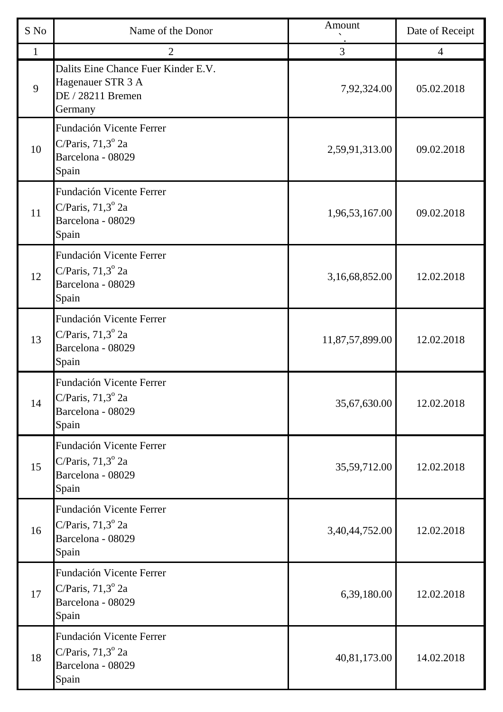| S No | Name of the Donor                                                                        | Amount          | Date of Receipt |
|------|------------------------------------------------------------------------------------------|-----------------|-----------------|
| 1    | $\overline{2}$                                                                           | $\overline{3}$  | $\overline{4}$  |
| 9    | Dalits Eine Chance Fuer Kinder E.V.<br>Hagenauer STR 3 A<br>DE / 28211 Bremen<br>Germany | 7,92,324.00     | 05.02.2018      |
| 10   | Fundación Vicente Ferrer<br>C/Paris, $71,3^{\circ}$ 2a<br>Barcelona - 08029<br>Spain     | 2,59,91,313.00  | 09.02.2018      |
| 11   | Fundación Vicente Ferrer<br>C/Paris, $71,3^{\circ}$ 2a<br>Barcelona - 08029<br>Spain     | 1,96,53,167.00  | 09.02.2018      |
| 12   | Fundación Vicente Ferrer<br>C/Paris, $71,3^{\circ}$ 2a<br>Barcelona - 08029<br>Spain     | 3,16,68,852.00  | 12.02.2018      |
| 13   | Fundación Vicente Ferrer<br>C/Paris, $71,3^{\circ}$ 2a<br>Barcelona - 08029<br>Spain     | 11,87,57,899.00 | 12.02.2018      |
| 14   | Fundación Vicente Ferrer<br>C/Paris, $71,3^{\circ}$ 2a<br>Barcelona - 08029<br>Spain     | 35,67,630.00    | 12.02.2018      |
| 15   | Fundación Vicente Ferrer<br>C/Paris, $71,3^{\circ}$ 2a<br>Barcelona - 08029<br>Spain     | 35,59,712.00    | 12.02.2018      |
| 16   | Fundación Vicente Ferrer<br>C/Paris, $71,3^{\circ}$ 2a<br>Barcelona - 08029<br>Spain     | 3,40,44,752.00  | 12.02.2018      |
| 17   | Fundación Vicente Ferrer<br>C/Paris, $71,3^{\circ}$ 2a<br>Barcelona - 08029<br>Spain     | 6,39,180.00     | 12.02.2018      |
| 18   | Fundación Vicente Ferrer<br>C/Paris, $71,3^{\circ}$ 2a<br>Barcelona - 08029<br>Spain     | 40,81,173.00    | 14.02.2018      |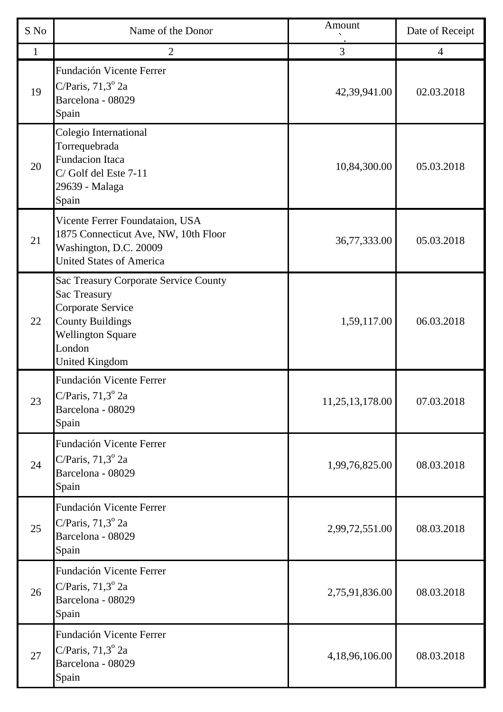| S No         | Name of the Donor                                                                                                                                                    | Amount          | Date of Receipt |
|--------------|----------------------------------------------------------------------------------------------------------------------------------------------------------------------|-----------------|-----------------|
| $\mathbf{1}$ | $\overline{2}$                                                                                                                                                       | 3               | $\overline{4}$  |
| 19           | Fundación Vicente Ferrer<br>C/Paris, $71,3^{\circ}$ 2a<br>Barcelona - 08029<br>Spain                                                                                 | 42,39,941.00    | 02.03.2018      |
| 20           | Colegio International<br>Torrequebrada<br><b>Fundacion Itaca</b><br>C/Golf del Este 7-11<br>29639 - Malaga<br>Spain                                                  | 10,84,300.00    | 05.03.2018      |
| 21           | Vicente Ferrer Foundataion, USA<br>1875 Connecticut Ave, NW, 10th Floor<br>Washington, D.C. 20009<br><b>United States of America</b>                                 | 36,77,333.00    | 05.03.2018      |
| 22           | Sac Treasury Corporate Service County<br>Sac Treasury<br>Corporate Service<br><b>County Buildings</b><br><b>Wellington Square</b><br>London<br><b>United Kingdom</b> | 1,59,117.00     | 06.03.2018      |
| 23           | Fundación Vicente Ferrer<br>C/Paris, $71.3^\circ$ 2a<br>Barcelona - 08029<br>Spain                                                                                   | 11,25,13,178.00 | 07.03.2018      |
| 24           | Fundación Vicente Ferrer<br>C/Paris, $71,3^{\circ}$ 2a<br>Barcelona - 08029<br>Spain                                                                                 | 1,99,76,825.00  | 08.03.2018      |
| 25           | Fundación Vicente Ferrer<br>C/Paris, $71,3^{\circ}$ 2a<br>Barcelona - 08029<br>Spain                                                                                 | 2,99,72,551.00  | 08.03.2018      |
| 26           | Fundación Vicente Ferrer<br>C/Paris, $71,3^{\circ}$ 2a<br>Barcelona - 08029<br>Spain                                                                                 | 2,75,91,836.00  | 08.03.2018      |
| 27           | Fundación Vicente Ferrer<br>C/Paris, $71,3^{\circ}$ 2a<br>Barcelona - 08029<br>Spain                                                                                 | 4,18,96,106.00  | 08.03.2018      |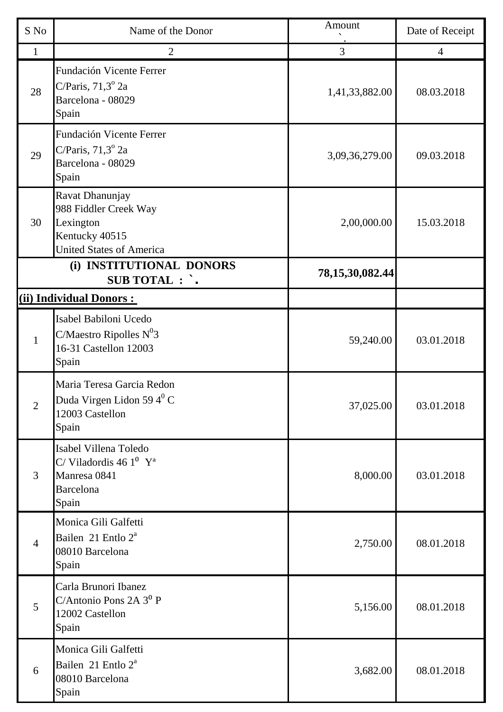| S No           | Name of the Donor                                                                                          | Amount              | Date of Receipt |
|----------------|------------------------------------------------------------------------------------------------------------|---------------------|-----------------|
| $\mathbf{1}$   | $\overline{2}$                                                                                             | 3                   | $\overline{4}$  |
| 28             | <b>Fundación Vicente Ferrer</b><br>C/Paris, $71,3^{\circ}$ 2a<br>Barcelona - 08029<br>Spain                | 1,41,33,882.00      | 08.03.2018      |
| 29             | <b>Fundación Vicente Ferrer</b><br>C/Paris, $71,3^{\circ}$ 2a<br>Barcelona - 08029<br>Spain                | 3,09,36,279.00      | 09.03.2018      |
| 30             | Ravat Dhanunjay<br>988 Fiddler Creek Way<br>Lexington<br>Kentucky 40515<br><b>United States of America</b> | 2,00,000.00         | 15.03.2018      |
|                | (i) INSTITUTIONAL DONORS<br><b>SUB TOTAL : `.</b>                                                          | 78, 15, 30, 082. 44 |                 |
|                | (ii) Individual Donors:                                                                                    |                     |                 |
| 1              | Isabel Babiloni Ucedo<br>C/Maestro Ripolles $N^03$<br>16-31 Castellon 12003<br>Spain                       | 59,240.00           | 03.01.2018      |
| $\overline{2}$ | Maria Teresa Garcia Redon<br>Duda Virgen Lidon 59 $4^0$ C<br>12003 Castellon<br>Spain                      | 37,025.00           | 03.01.2018      |
| 3              | Isabel Villena Toledo<br>C/Viladordis 46 $1^0$ Y <sup>a</sup><br>Manresa 0841<br><b>Barcelona</b><br>Spain | 8,000.00            | 03.01.2018      |
| $\overline{4}$ | Monica Gili Galfetti<br>Bailen 21 Entlo 2 <sup>ª</sup><br>08010 Barcelona<br>Spain                         | 2,750.00            | 08.01.2018      |
| 5              | Carla Brunori Ibanez<br>C/Antonio Pons 2A 3 <sup>0</sup> P<br>12002 Castellon<br>Spain                     | 5,156.00            | 08.01.2018      |
| 6              | Monica Gili Galfetti<br>Bailen 21 Entlo 2 <sup>ª</sup><br>08010 Barcelona<br>Spain                         | 3,682.00            | 08.01.2018      |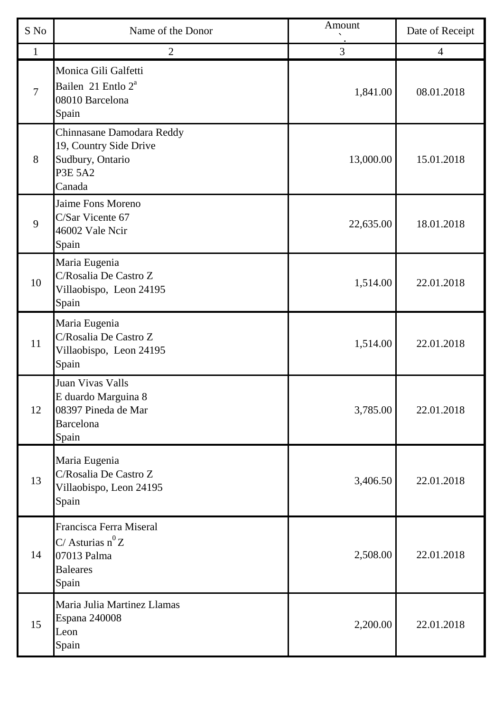| S No         | Name of the Donor                                                                                   | Amount    | Date of Receipt |
|--------------|-----------------------------------------------------------------------------------------------------|-----------|-----------------|
| $\mathbf{1}$ | $\overline{2}$                                                                                      | 3         | $\overline{4}$  |
| 7            | Monica Gili Galfetti<br>Bailen 21 Entlo 2 <sup>ª</sup><br>08010 Barcelona<br>Spain                  | 1,841.00  | 08.01.2018      |
| 8            | Chinnasane Damodara Reddy<br>19, Country Side Drive<br>Sudbury, Ontario<br><b>P3E 5A2</b><br>Canada | 13,000.00 | 15.01.2018      |
| 9            | Jaime Fons Moreno<br>C/Sar Vicente 67<br>46002 Vale Ncir<br>Spain                                   | 22,635.00 | 18.01.2018      |
| 10           | Maria Eugenia<br>C/Rosalia De Castro Z<br>Villaobispo, Leon 24195<br>Spain                          | 1,514.00  | 22.01.2018      |
| 11           | Maria Eugenia<br>C/Rosalia De Castro Z<br>Villaobispo, Leon 24195<br>Spain                          | 1,514.00  | 22.01.2018      |
| 12           | Juan Vivas Valls<br>E duardo Marguina 8<br>08397 Pineda de Mar<br><b>Barcelona</b><br>Spain         | 3,785.00  | 22.01.2018      |
| 13           | Maria Eugenia<br>C/Rosalia De Castro Z<br>Villaobispo, Leon 24195<br>Spain                          | 3,406.50  | 22.01.2018      |
| 14           | Francisca Ferra Miseral<br>C/ Asturias $n^0 Z$<br>07013 Palma<br><b>Baleares</b><br>Spain           | 2,508.00  | 22.01.2018      |
| 15           | Maria Julia Martinez Llamas<br><b>Espana 240008</b><br>Leon<br>Spain                                | 2,200.00  | 22.01.2018      |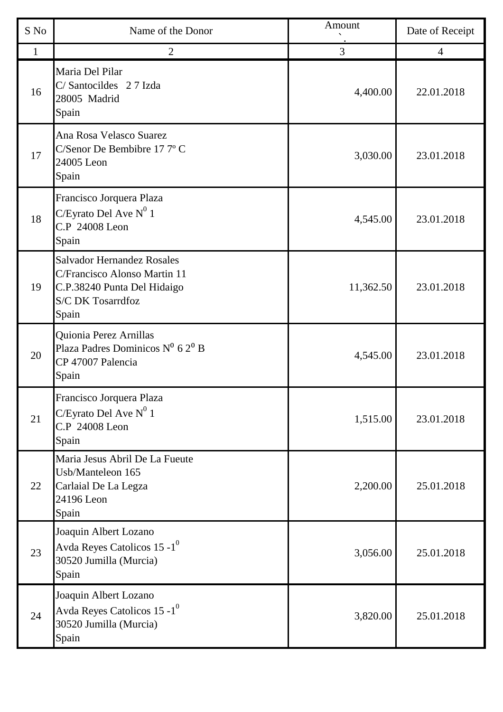| S No         | Name of the Donor                                                                                                                     | Amount    | Date of Receipt |
|--------------|---------------------------------------------------------------------------------------------------------------------------------------|-----------|-----------------|
| $\mathbf{1}$ | $\overline{2}$                                                                                                                        | 3         | $\overline{4}$  |
| 16           | Maria Del Pilar<br>C/Santocildes 27 Izda<br>28005 Madrid<br>Spain                                                                     | 4,400.00  | 22.01.2018      |
| 17           | Ana Rosa Velasco Suarez<br>C/Senor De Bembibre 177°C<br>24005 Leon<br>Spain                                                           | 3,030.00  | 23.01.2018      |
| 18           | Francisco Jorquera Plaza<br>C/Eyrato Del Ave $N^0$ 1<br>C.P 24008 Leon<br>Spain                                                       | 4,545.00  | 23.01.2018      |
| 19           | <b>Salvador Hernandez Rosales</b><br>C/Francisco Alonso Martin 11<br>C.P.38240 Punta Del Hidaigo<br><b>S/C DK Tosarrdfoz</b><br>Spain | 11,362.50 | 23.01.2018      |
| 20           | Quionia Perez Arnillas<br>Plaza Padres Dominicos Nº 62º B<br>CP 47007 Palencia<br>Spain                                               | 4,545.00  | 23.01.2018      |
| 21           | Francisco Jorquera Plaza<br>C/Eyrato Del Ave $N^0$ 1<br>C.P 24008 Leon<br>Spain                                                       | 1,515.00  | 23.01.2018      |
| 22           | Maria Jesus Abril De La Fueute<br>Usb/Manteleon 165<br>Carlaial De La Legza<br>24196 Leon<br>Spain                                    | 2,200.00  | 25.01.2018      |
| 23           | Joaquin Albert Lozano<br>Avda Reyes Catolicos 15 -1 $^0$<br>30520 Jumilla (Murcia)<br>Spain                                           | 3,056.00  | 25.01.2018      |
| 24           | Joaquin Albert Lozano<br>Avda Reyes Catolicos 15 - $1^0$<br>30520 Jumilla (Murcia)<br>Spain                                           | 3,820.00  | 25.01.2018      |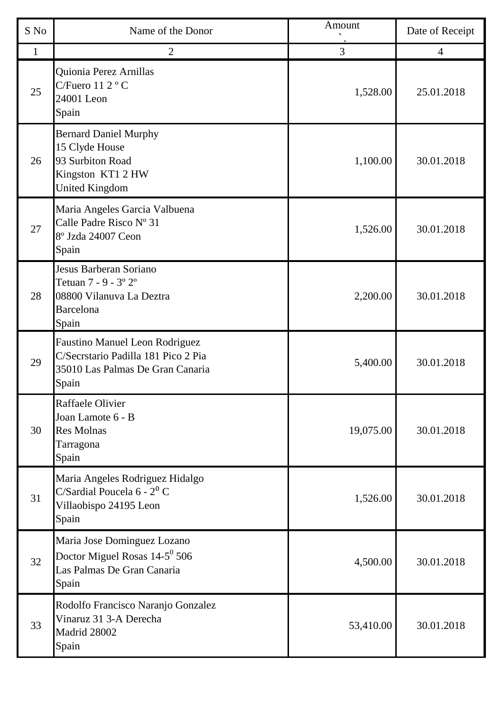| S No         | Name of the Donor                                                                                                  | Amount    | Date of Receipt |
|--------------|--------------------------------------------------------------------------------------------------------------------|-----------|-----------------|
| $\mathbf{1}$ | $\overline{2}$                                                                                                     | 3         | 4               |
| 25           | Quionia Perez Arnillas<br>C/Fuero 11 2 °C<br>24001 Leon<br>Spain                                                   | 1,528.00  | 25.01.2018      |
| 26           | <b>Bernard Daniel Murphy</b><br>15 Clyde House<br>93 Surbiton Road<br>Kingston KT1 2 HW<br><b>United Kingdom</b>   | 1,100.00  | 30.01.2018      |
| 27           | Maria Angeles Garcia Valbuena<br>Calle Padre Risco Nº 31<br>8° Jzda 24007 Ceon<br>Spain                            | 1,526.00  | 30.01.2018      |
| 28           | Jesus Barberan Soriano<br>Tetuan 7 - 9 - 3° 2°<br>08800 Vilanuva La Deztra<br><b>Barcelona</b><br>Spain            | 2,200.00  | 30.01.2018      |
| 29           | Faustino Manuel Leon Rodriguez<br>C/Secrstario Padilla 181 Pico 2 Pia<br>35010 Las Palmas De Gran Canaria<br>Spain | 5,400.00  | 30.01.2018      |
| 30           | Raffaele Olivier<br>Joan Lamote 6 - B<br><b>Res Molnas</b><br>Tarragona<br>Spain                                   | 19,075.00 | 30.01.2018      |
| 31           | Maria Angeles Rodriguez Hidalgo<br>C/Sardial Poucela $6 - 2^0$ C<br>Villaobispo 24195 Leon<br>Spain                | 1,526.00  | 30.01.2018      |
| 32           | Maria Jose Dominguez Lozano<br>Doctor Miguel Rosas 14-5 <sup>0</sup> 506<br>Las Palmas De Gran Canaria<br>Spain    | 4,500.00  | 30.01.2018      |
| 33           | Rodolfo Francisco Naranjo Gonzalez<br>Vinaruz 31 3-A Derecha<br>Madrid 28002<br>Spain                              | 53,410.00 | 30.01.2018      |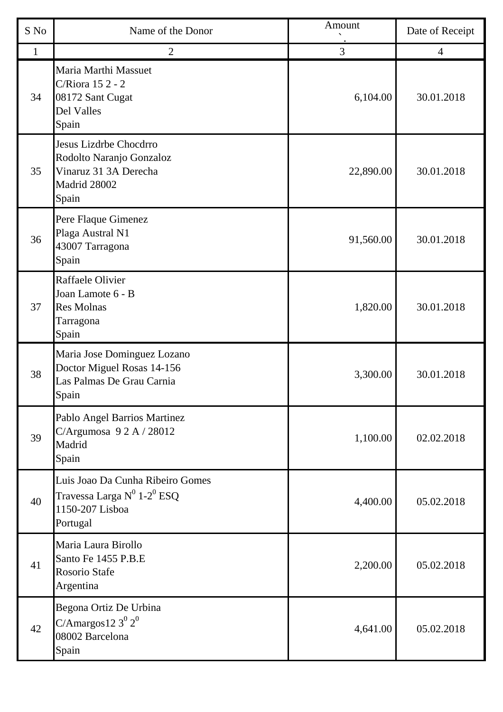| S No         | Name of the Donor                                                                                            | Amount    | Date of Receipt |
|--------------|--------------------------------------------------------------------------------------------------------------|-----------|-----------------|
| $\mathbf{1}$ | $\overline{2}$                                                                                               | 3         | $\overline{4}$  |
| 34           | Maria Marthi Massuet<br>C/Riora 15 2 - 2<br>08172 Sant Cugat<br>Del Valles<br>Spain                          | 6,104.00  | 30.01.2018      |
| 35           | Jesus Lizdrbe Chocdrro<br>Rodolto Naranjo Gonzaloz<br>Vinaruz 31 3A Derecha<br>Madrid 28002<br>Spain         | 22,890.00 | 30.01.2018      |
| 36           | Pere Flaque Gimenez<br>Plaga Austral N1<br>43007 Tarragona<br>Spain                                          | 91,560.00 | 30.01.2018      |
| 37           | Raffaele Olivier<br>Joan Lamote 6 - B<br><b>Res Molnas</b><br>Tarragona<br>Spain                             | 1,820.00  | 30.01.2018      |
| 38           | Maria Jose Dominguez Lozano<br>Doctor Miguel Rosas 14-156<br>Las Palmas De Grau Carnia<br>Spain              | 3,300.00  | 30.01.2018      |
| 39           | Pablo Angel Barrios Martinez<br>C/Argumosa 92A/28012<br>Madrid<br>Spain                                      | 1,100.00  | 02.02.2018      |
| 40           | Luis Joao Da Cunha Ribeiro Gomes<br>Travessa Larga $N^0$ 1-2 <sup>0</sup> ESQ<br>1150-207 Lisboa<br>Portugal | 4,400.00  | 05.02.2018      |
| 41           | Maria Laura Birollo<br>Santo Fe 1455 P.B.E<br>Rosorio Stafe<br>Argentina                                     | 2,200.00  | 05.02.2018      |
| 42           | Begona Ortiz De Urbina<br>C/Amargos12 $3^0$ $2^0$<br>08002 Barcelona<br>Spain                                | 4,641.00  | 05.02.2018      |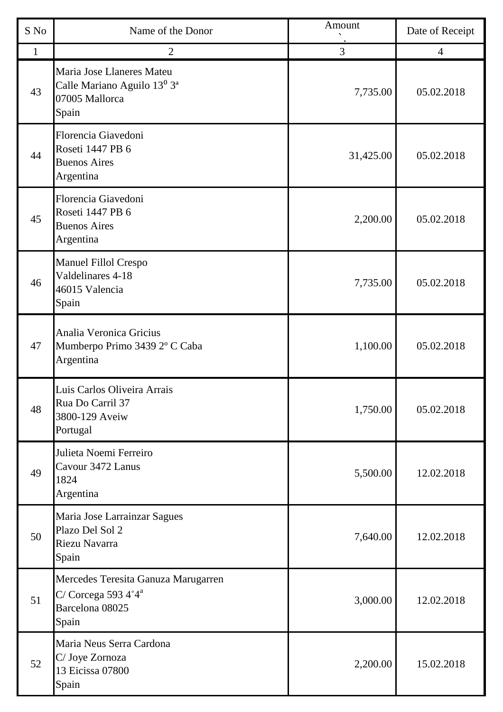| S No         | Name of the Donor                                                                                           | Amount    | Date of Receipt |
|--------------|-------------------------------------------------------------------------------------------------------------|-----------|-----------------|
| $\mathbf{1}$ | $\overline{2}$                                                                                              | 3         | $\overline{4}$  |
| 43           | Maria Jose Llaneres Mateu<br>Calle Mariano Aguilo 13 <sup>0</sup> 3 <sup>a</sup><br>07005 Mallorca<br>Spain | 7,735.00  | 05.02.2018      |
| 44           | Florencia Giavedoni<br>Roseti 1447 PB 6<br><b>Buenos Aires</b><br>Argentina                                 | 31,425.00 | 05.02.2018      |
| 45           | Florencia Giavedoni<br>Roseti 1447 PB 6<br><b>Buenos Aires</b><br>Argentina                                 | 2,200.00  | 05.02.2018      |
| 46           | Manuel Fillol Crespo<br>Valdelinares 4-18<br>46015 Valencia<br>Spain                                        | 7,735.00  | 05.02.2018      |
| 47           | Analia Veronica Gricius<br>Mumberpo Primo 3439 2º C Caba<br>Argentina                                       | 1,100.00  | 05.02.2018      |
| 48           | Luis Carlos Oliveira Arrais<br>Rua Do Carril 37<br>3800-129 Aveiw<br>Portugal                               | 1,750.00  | 05.02.2018      |
| 49           | Julieta Noemi Ferreiro<br>Cavour 3472 Lanus<br>1824<br>Argentina                                            | 5,500.00  | 12.02.2018      |
| 50           | Maria Jose Larrainzar Sagues<br>Plazo Del Sol 2<br>Riezu Navarra<br>Spain                                   | 7,640.00  | 12.02.2018      |
| 51           | Mercedes Teresita Ganuza Marugarren<br>C/Corcega 593 $4^{\circ}4^{\circ}$<br>Barcelona 08025<br>Spain       | 3,000.00  | 12.02.2018      |
| 52           | Maria Neus Serra Cardona<br>C/ Joye Zornoza<br>13 Eicissa 07800<br>Spain                                    | 2,200.00  | 15.02.2018      |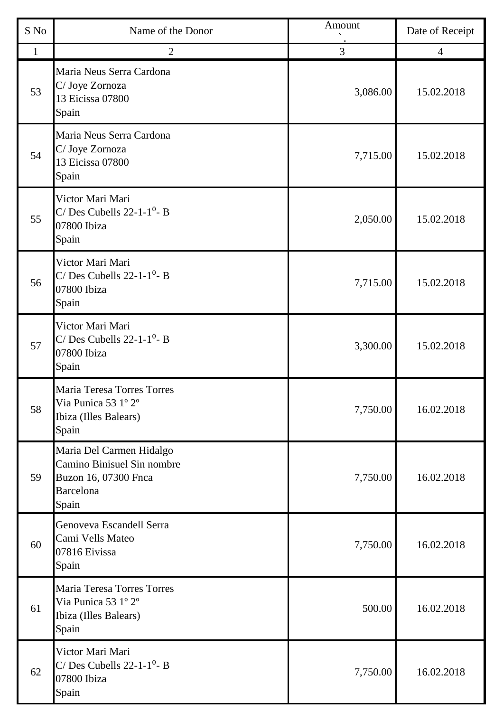| S No | Name of the Donor                                                                                           | Amount   | Date of Receipt |
|------|-------------------------------------------------------------------------------------------------------------|----------|-----------------|
| 1    | $\overline{2}$                                                                                              | 3        | $\overline{4}$  |
| 53   | Maria Neus Serra Cardona<br>C/ Joye Zornoza<br>13 Eicissa 07800<br>Spain                                    | 3,086.00 | 15.02.2018      |
| 54   | Maria Neus Serra Cardona<br>C/ Joye Zornoza<br>13 Eicissa 07800<br>Spain                                    | 7,715.00 | 15.02.2018      |
| 55   | Victor Mari Mari<br>C/Des Cubells $22-1-1$ <sup>0</sup> -B<br>07800 Ibiza<br>Spain                          | 2,050.00 | 15.02.2018      |
| 56   | Victor Mari Mari<br>C/Des Cubells $22-1-1^0$ - B<br>07800 Ibiza<br>Spain                                    | 7,715.00 | 15.02.2018      |
| 57   | Victor Mari Mari<br>C/ Des Cubells $22-1-1$ <sup>0</sup> - B<br>07800 Ibiza<br>Spain                        | 3,300.00 | 15.02.2018      |
| 58   | Maria Teresa Torres Torres<br>Via Punica 53 1º 2º<br>Ibiza (Illes Balears)<br>Spain                         | 7,750.00 | 16.02.2018      |
| 59   | Maria Del Carmen Hidalgo<br>Camino Binisuel Sin nombre<br>Buzon 16, 07300 Fnca<br><b>Barcelona</b><br>Spain | 7,750.00 | 16.02.2018      |
| 60   | Genoveva Escandell Serra<br>Cami Vells Mateo<br>07816 Eivissa<br>Spain                                      | 7,750.00 | 16.02.2018      |
| 61   | Maria Teresa Torres Torres<br>Via Punica 53 1º 2º<br>Ibiza (Illes Balears)<br>Spain                         | 500.00   | 16.02.2018      |
| 62   | Victor Mari Mari<br>C/ Des Cubells $22-1-1^0$ - B<br>07800 Ibiza<br>Spain                                   | 7,750.00 | 16.02.2018      |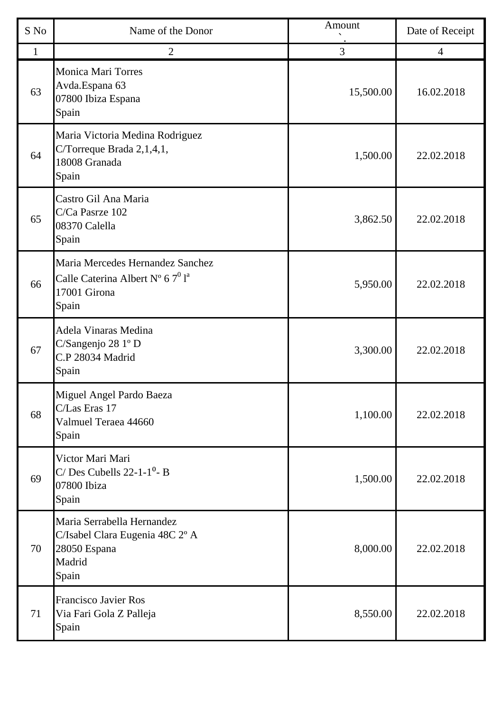| S No         | Name of the Donor                                                                                            | Amount    | Date of Receipt |
|--------------|--------------------------------------------------------------------------------------------------------------|-----------|-----------------|
| $\mathbf{1}$ | $\overline{2}$                                                                                               | 3         | $\overline{4}$  |
| 63           | <b>Monica Mari Torres</b><br>Avda.Espana 63<br>07800 Ibiza Espana<br>Spain                                   | 15,500.00 | 16.02.2018      |
| 64           | Maria Victoria Medina Rodriguez<br>C/Torreque Brada 2,1,4,1,<br>18008 Granada<br>Spain                       | 1,500.00  | 22.02.2018      |
| 65           | Castro Gil Ana Maria<br>C/Ca Pasrze 102<br>08370 Calella<br>Spain                                            | 3,862.50  | 22.02.2018      |
| 66           | Maria Mercedes Hernandez Sanchez<br>Calle Caterina Albert N° 6 $7^0$ l <sup>a</sup><br>17001 Girona<br>Spain | 5,950.00  | 22.02.2018      |
| 67           | Adela Vinaras Medina<br>C/Sangenjo 28 1º D<br>C.P 28034 Madrid<br>Spain                                      | 3,300.00  | 22.02.2018      |
| 68           | Miguel Angel Pardo Baeza<br>C/Las Eras 17<br>Valmuel Teraea 44660<br>Spain                                   | 1,100.00  | 22.02.2018      |
| 69           | Victor Mari Mari<br>$C/Des$ Cubells 22-1-1 <sup>0</sup> - B<br>07800 Ibiza<br>Spain                          | 1,500.00  | 22.02.2018      |
| 70           | Maria Serrabella Hernandez<br>C/Isabel Clara Eugenia 48C 2° A<br>28050 Espana<br>Madrid<br>Spain             | 8,000.00  | 22.02.2018      |
| 71           | <b>Francisco Javier Ros</b><br>Via Fari Gola Z Palleja<br>Spain                                              | 8,550.00  | 22.02.2018      |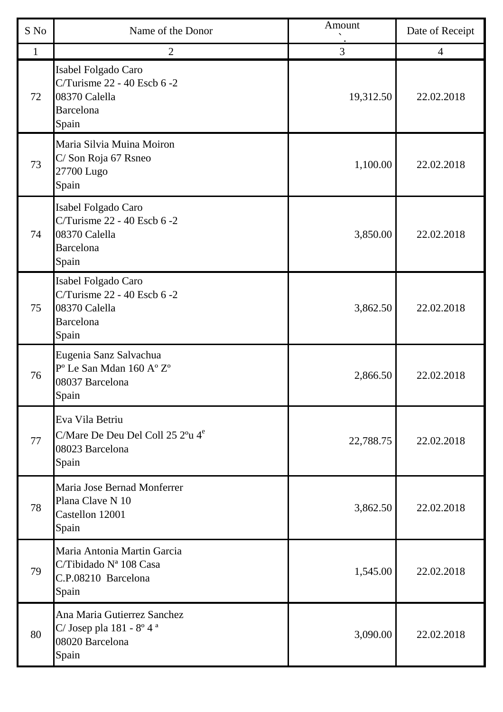| S No         | Name of the Donor                                                                                        | Amount    | Date of Receipt |
|--------------|----------------------------------------------------------------------------------------------------------|-----------|-----------------|
| $\mathbf{1}$ | $\overline{2}$                                                                                           | 3         | $\overline{4}$  |
| 72           | Isabel Folgado Caro<br>C/Turisme 22 - 40 Escb 6 -2<br>08370 Calella<br><b>Barcelona</b><br>Spain         | 19,312.50 | 22.02.2018      |
| 73           | Maria Silvia Muina Moiron<br>C/Son Roja 67 Rsneo<br>27700 Lugo<br>Spain                                  | 1,100.00  | 22.02.2018      |
| 74           | Isabel Folgado Caro<br>C/Turisme 22 - 40 Escb 6 -2<br>08370 Calella<br><b>Barcelona</b><br>Spain         | 3,850.00  | 22.02.2018      |
| 75           | Isabel Folgado Caro<br>C/Turisme 22 - 40 Escb 6 -2<br>08370 Calella<br>Barcelona<br>Spain                | 3,862.50  | 22.02.2018      |
| 76           | Eugenia Sanz Salvachua<br>P° Le San Mdan 160 A° Z°<br>08037 Barcelona<br>Spain                           | 2,866.50  | 22.02.2018      |
| 77           | Eva Vila Betriu<br>C/Mare De Deu Del Coll 25 2 <sup>o</sup> u 4 <sup>e</sup><br>08023 Barcelona<br>Spain | 22,788.75 | 22.02.2018      |
| 78           | Maria Jose Bernad Monferrer<br>Plana Clave N 10<br>Castellon 12001<br>Spain                              | 3,862.50  | 22.02.2018      |
| 79           | Maria Antonia Martin Garcia<br>C/Tibidado Nª 108 Casa<br>C.P.08210 Barcelona<br>Spain                    | 1,545.00  | 22.02.2018      |
| 80           | Ana Maria Gutierrez Sanchez<br>C/Josep pla $181 - 8^{\circ} 4^{\text{a}}$<br>08020 Barcelona<br>Spain    | 3,090.00  | 22.02.2018      |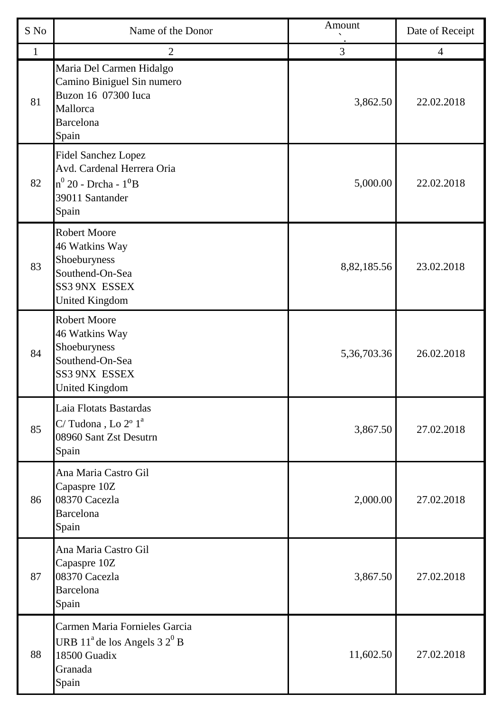| S No | Name of the Donor                                                                                                      | Amount      | Date of Receipt |
|------|------------------------------------------------------------------------------------------------------------------------|-------------|-----------------|
| 1    | $\overline{2}$                                                                                                         | 3           | $\overline{4}$  |
| 81   | Maria Del Carmen Hidalgo<br>Camino Biniguel Sin numero<br>Buzon 16 07300 Iuca<br>Mallorca<br><b>Barcelona</b><br>Spain | 3,862.50    | 22.02.2018      |
| 82   | <b>Fidel Sanchez Lopez</b><br>Avd. Cardenal Herrera Oria<br>$n^0$ 20 - Drcha - $1^0$ B<br>39011 Santander<br>Spain     | 5,000.00    | 22.02.2018      |
| 83   | <b>Robert Moore</b><br>46 Watkins Way<br>Shoeburyness<br>Southend-On-Sea<br>SS3 9NX ESSEX<br><b>United Kingdom</b>     | 8,82,185.56 | 23.02.2018      |
| 84   | <b>Robert Moore</b><br>46 Watkins Way<br>Shoeburyness<br>Southend-On-Sea<br>SS3 9NX ESSEX<br><b>United Kingdom</b>     | 5,36,703.36 | 26.02.2018      |
| 85   | Laia Flotats Bastardas<br>C/Tudona, Lo $2^{\circ}$ $1^{\circ}$<br>08960 Sant Zst Desutrn<br>Spain                      | 3,867.50    | 27.02.2018      |
| 86   | Ana Maria Castro Gil<br>Capaspre 10Z<br>08370 Cacezla<br><b>Barcelona</b><br>Spain                                     | 2,000.00    | 27.02.2018      |
| 87   | Ana Maria Castro Gil<br>Capaspre 10Z<br>08370 Cacezla<br><b>Barcelona</b><br>Spain                                     | 3,867.50    | 27.02.2018      |
| 88   | Carmen Maria Fornieles Garcia<br>URB $11^{\circ}$ de los Angels 3 $2^{\circ}$ B<br>18500 Guadix<br>Granada<br>Spain    | 11,602.50   | 27.02.2018      |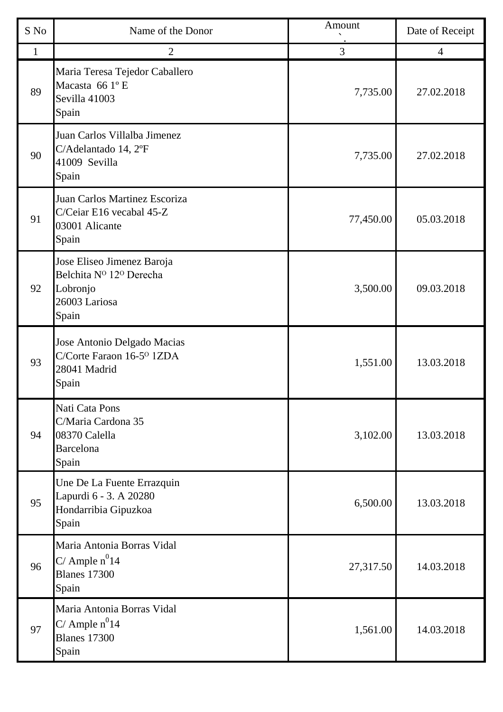| S No         | Name of the Donor                                                                             | Amount    | Date of Receipt |
|--------------|-----------------------------------------------------------------------------------------------|-----------|-----------------|
| $\mathbf{1}$ | $\overline{2}$                                                                                | 3         | $\overline{4}$  |
| 89           | Maria Teresa Tejedor Caballero<br>Macasta 66 1º E<br>Sevilla 41003<br>Spain                   | 7,735.00  | 27.02.2018      |
| 90           | Juan Carlos Villalba Jimenez<br>C/Adelantado 14, 2°F<br>41009 Sevilla<br>Spain                | 7,735.00  | 27.02.2018      |
| 91           | Juan Carlos Martinez Escoriza<br>C/Ceiar E16 vecabal 45-Z<br>03001 Alicante<br>Spain          | 77,450.00 | 05.03.2018      |
| 92           | Jose Eliseo Jimenez Baroja<br>Belchita Nº 12º Derecha<br>Lobronjo<br>26003 Lariosa<br>Spain   | 3,500.00  | 09.03.2018      |
| 93           | Jose Antonio Delgado Macias<br>C/Corte Faraon 16-5 <sup>o</sup> 1ZDA<br>28041 Madrid<br>Spain | 1,551.00  | 13.03.2018      |
| 94           | Nati Cata Pons<br>C/Maria Cardona 35<br>08370 Calella<br><b>Barcelona</b><br>Spain            | 3,102.00  | 13.03.2018      |
| 95           | Une De La Fuente Errazquin<br>Lapurdi 6 - 3. A 20280<br>Hondarribia Gipuzkoa<br>Spain         | 6,500.00  | 13.03.2018      |
| 96           | Maria Antonia Borras Vidal<br>$C/$ Ample $n^0$ 14<br><b>Blanes</b> 17300<br>Spain             | 27,317.50 | 14.03.2018      |
| 97           | Maria Antonia Borras Vidal<br>C/ Ample $n^0$ 14<br><b>Blanes</b> 17300<br>Spain               | 1,561.00  | 14.03.2018      |